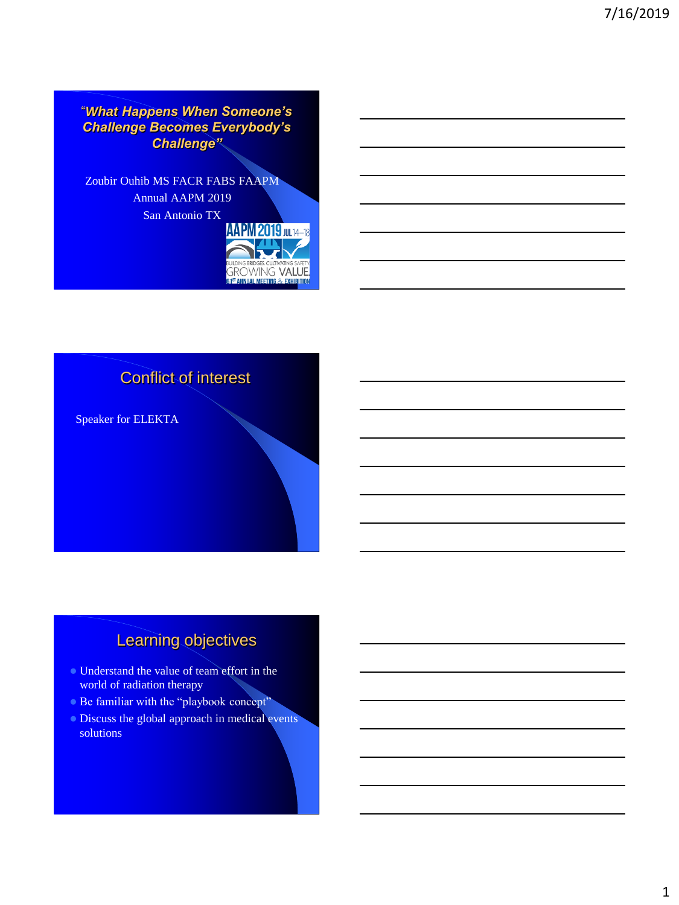"*What Happens When Someone's Challenge Becomes Everybody's Challenge"*

Zoubir Ouhib MS FACR FABS FAAPM Annual AAPM 2019 San Antonio TX





# Learning objectives

- Understand the value of team effort in the world of radiation therapy
- Be familiar with the "playbook concept"
- **Discuss the global approach in medical events** solutions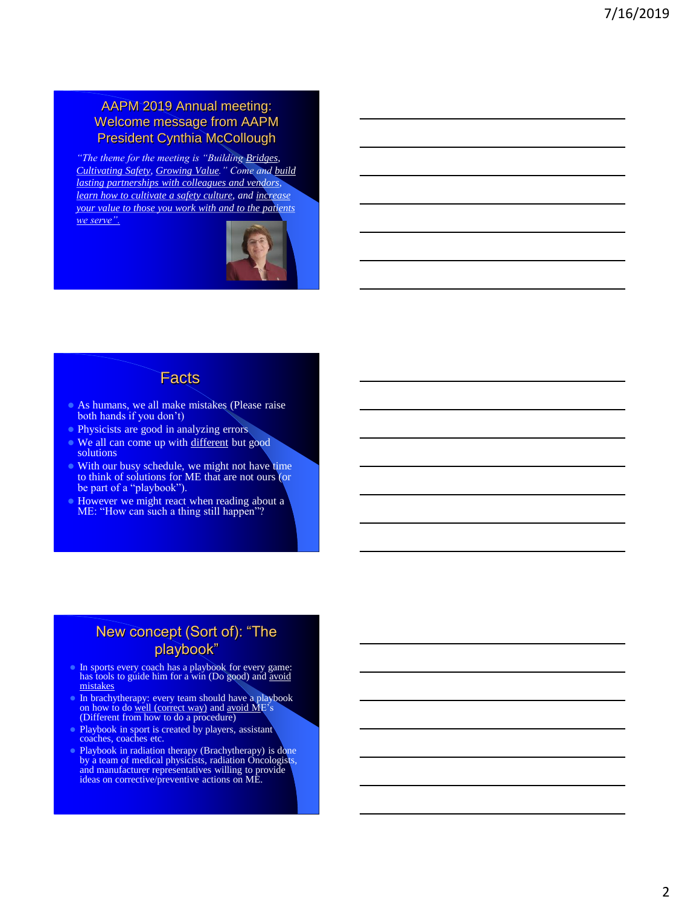### AAPM 2019 Annual meeting: Welcome message from AAPM President Cynthia McCollough

*"The theme for the meeting is "Building Bridges, Cultivating Safety, Growing Value." Come and build lasting partnerships with colleagues and vendors, learn how to cultivate a safety culture, and increase your value to those you work with and to the patients we serve".*



### **Facts**

- As humans, we all make mistakes (Please raise both hands if you don't)
- Physicists are good in analyzing errors
- We all can come up with different but good solutions
- With our busy schedule, we might not have time to think of solutions for ME that are not ours (or be part of a "playbook").
- However we might react when reading about a ME: "How can such a thing still happen"?

### New concept (Sort of): "The playbook"

- In sports every coach has a playbook for every game: has tools to guide him for a win (Do good) and avoid mistakes
- In brachytherapy: every team should have a playbook<br>
on how to do <u>well (correct way</u>) and <u>avoid ME</u>'s<br>
(Different from how to do a procedure)
- Playbook in sport is created by players, assistant coaches, coaches etc.
- Playbook in radiation therapy (Brachytherapy) is done by a team of medical physicists, radiation Oncologists, and manufacturer representatives willing to provide ideas on corrective/preventive actions on ME.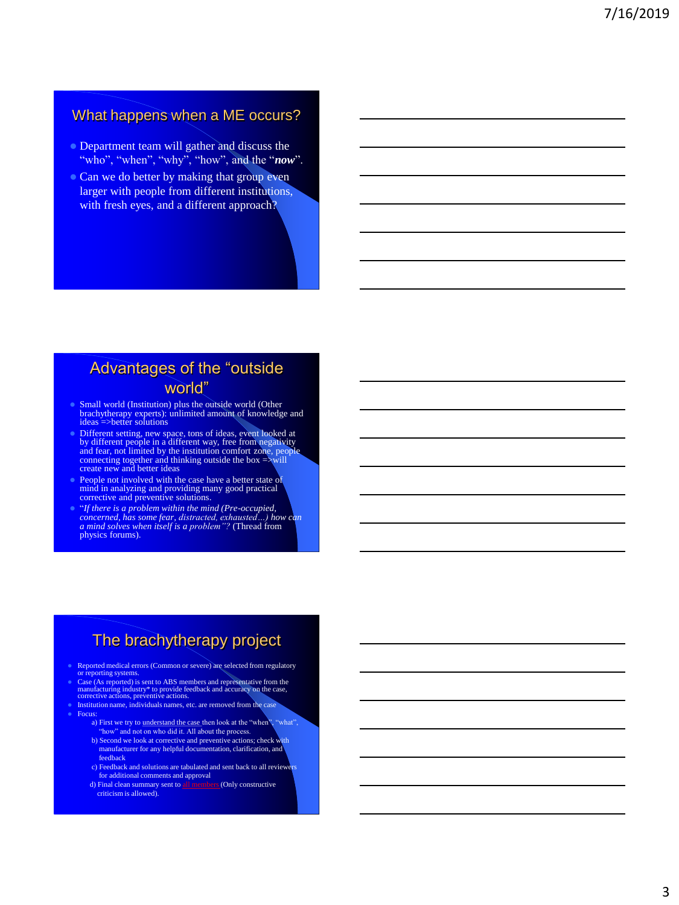### What happens when a ME occurs?

- **Department team will gather and discuss the** "who", "when", "why", "how", and the "*now*".
- Can we do better by making that group even larger with people from different institutions, with fresh eyes, and a different approach?

## Advantages of the "outside world"

- Small world (Institution) plus the outside world (Other brachytherapy experts): unlimited amount of knowledge and ideas =>better solutions
- Different setting, new space, tons of ideas, event looked at<br>by different people in a different way, free from negativity<br>and fear, not limited by the institution comfort zone, people<br>connecting together and thinking outs
- **People not involved with the case have a better state of** mind in analyzing and providing many good practical corrective and preventive solutions.
- "*If there is a problem within the mind (Pre-occupied, concerned, has some fear, distracted, exhausted…) how can a mind solves when itself is a problem"?* (Thread from physics forums).

# The brachytherapy project

- Reported medical errors (Common or severe) are selected from regulatory
- or reporting systems. Case (As reported) is sent to ABS members and representative from the manufacturing industry\* to provide feedback and accuracy on the case, corrective actions, preventive actions.
- corrective actions, preventive actions.<br>Institution name, individuals names, etc. are removed from the case
- Focus:
	- a) First we try to understand the case then look at the "when", "what" "how" and not on who did it. All about the process. b) Second we look at corrective and preventive actions; check with manufacturer for any helpful documentation, clarification, and
	- feedback c) Feedback and solutions are tabulated and sent back to all reviewers
	- for additional comments and approval<br>Final clean summary sent to all members (Only constructive
	- d) Final clean summary sent to all members (Only constructive criticism is allowed).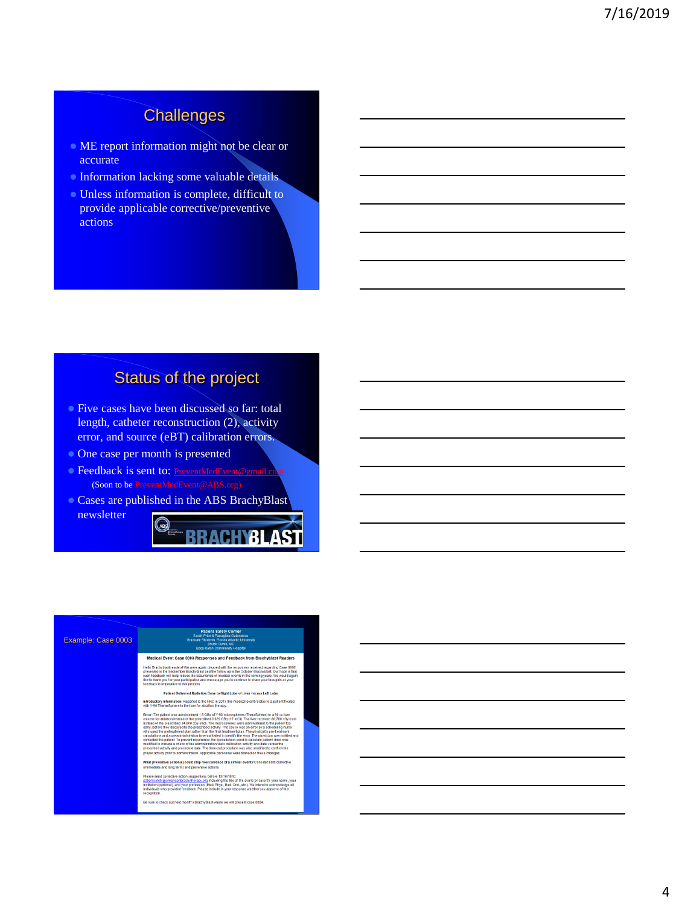# **Challenges**

- ME report information might not be clear or accurate
- **Information lacking some valuable details**
- Unless information is complete, difficult to provide applicable corrective/preventive actions

# Status of the project

- **Five cases have been discussed so far: total** length, catheter reconstruction (2), activity error, and source (eBT) calibration errors.
- One case per month is presented
- **Feedback is sent to: [PreventMedEvent@gmail.com](mailto:PreventMedEvent@gmail.com)** (Soon to be PreventMedEvent@ABS.org)
- Cases are published in the ABS BrachyBlast newsletter



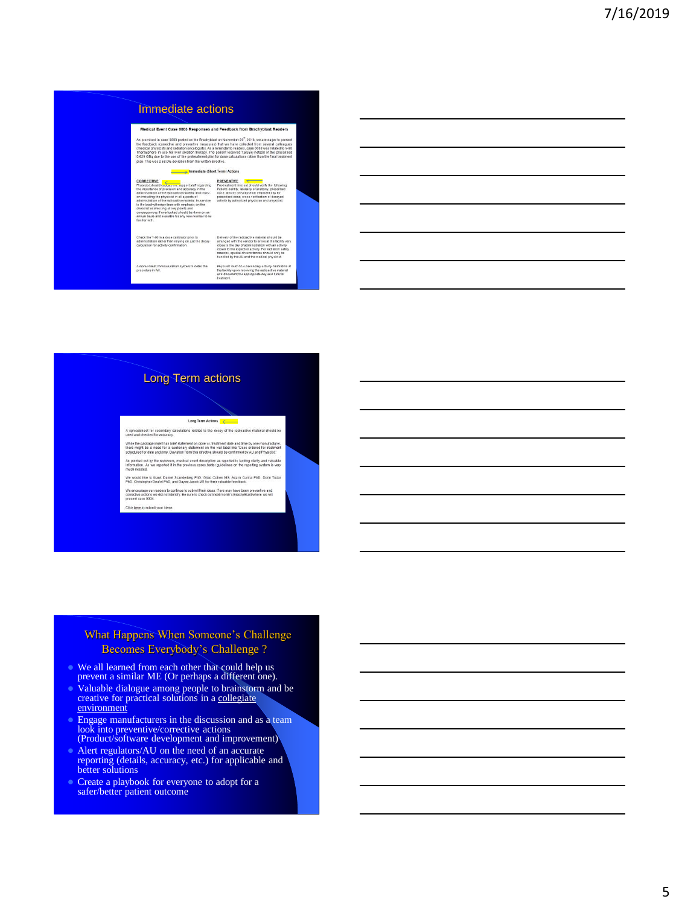#### Immediate actions

Medical Event Case 0003 Responses and Feedback from Brachyblast Readers As promised in case 0003 posted on the Brachyldast on November 20<sup>4</sup>, 2018, we are eager to press and the company of the company of the company of the company of the company of the company of the company of the company of a present<br>ileagues<br>d to Y-90<br>reatment

#### mmediate (Short Term) Actions

the Y-90 in a dose calibrator prior to<br>stration rather than relying on just the decay<br>tion for activity confirmation.

dien system to detail the A more robust ci<br>procedure in full

#### Long Term actions

#### Long Term Actions

.<br>A spreadsheet for secondary calculations related to the decay of the radioactive material should be<br>ised and checked for accuracy.

While the package insert has brief statement on dose vs. treatment date and time by one manufa<br>there might be a need for a cautionary statement on the vial label like "Dose ordered for treat<br>scheduled for date and time. De

As pointed out by the reviewers, medical event description as reported is lacking clarity and valuable<br>Information. As we reported it in the previous cases better guidelines on the reporting system is very<br>much needed.

.<br>We would like to thank Daniel Scanderbeg PhD, Gilad Cohen MS, Adam Cunha PhD, Dorin Todor<br>PhD, Christopher Deufel PhD, and Dayee Jacob MS for their valuable feedback. We encourage our readers to continue to submit their ideas. ITere may have been preventive and<br>corrective actions we did not identity. Be sure to check out next month's BrachyBlast where we will<br>present case 0004.

Click here to a

#### What Happens When Someone's Challenge Becomes Everybody's Challenge ?

- We all learned from each other that could help us prevent a similar ME (Or perhaps a different one).
- Valuable dialogue among people to brainstorm and be creative for practical solutions in a collegiate environment
- Engage manufacturers in the discussion and as a team look into preventive/corrective actions (Product/software development and improvement)
- Alert regulators/AU on the need of an accurate reporting (details, accuracy, etc.) for applicable and better solutions
- Create a playbook for everyone to adopt for a safer/better patient outcome